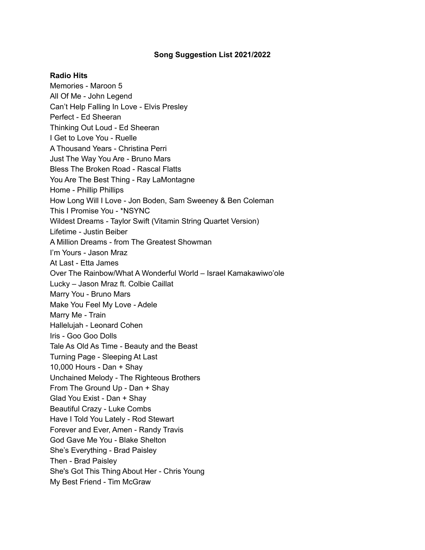### **Song Suggestion List 2021/2022**

#### **Radio Hits**

Memories - Maroon 5 All Of Me - John Legend Can't Help Falling In Love - Elvis Presley Perfect - Ed Sheeran Thinking Out Loud - Ed Sheeran I Get to Love You - Ruelle A Thousand Years - Christina Perri Just The Way You Are - Bruno Mars Bless The Broken Road - Rascal Flatts You Are The Best Thing - Ray LaMontagne Home - Phillip Phillips How Long Will I Love - Jon Boden, Sam Sweeney & Ben Coleman This I Promise You - \*NSYNC Wildest Dreams - Taylor Swift (Vitamin String Quartet Version) Lifetime - Justin Beiber A Million Dreams - from The Greatest Showman I'm Yours - Jason Mraz At Last - Etta James Over The Rainbow/What A Wonderful World – Israel Kamakawiwo'ole Lucky – Jason Mraz ft. Colbie Caillat Marry You - Bruno Mars Make You Feel My Love - Adele Marry Me - Train Hallelujah - Leonard Cohen Iris - Goo Goo Dolls Tale As Old As Time - Beauty and the Beast Turning Page - Sleeping At Last 10,000 Hours - Dan + Shay Unchained Melody - The Righteous Brothers From The Ground Up - Dan + Shay Glad You Exist - Dan + Shay Beautiful Crazy - Luke Combs Have I Told You Lately - Rod Stewart Forever and Ever, Amen - Randy Travis God Gave Me You - Blake Shelton She's Everything - Brad Paisley Then - Brad Paisley She's Got This Thing About Her - Chris Young My Best Friend - Tim McGraw